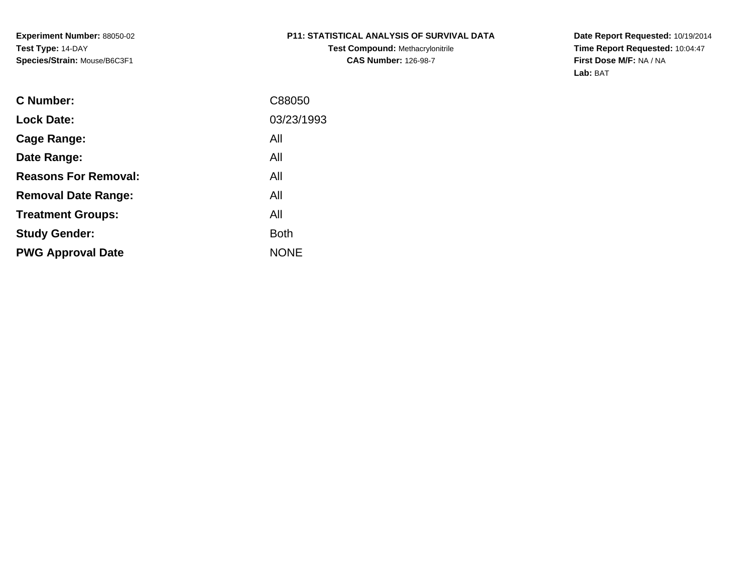**Experiment Number:** 88050-02**Test Type:** 14-DAY**Species/Strain:** Mouse/B6C3F1

# **P11: STATISTICAL ANALYSIS OF SURVIVAL DATA**

**Test Compound:** Methacrylonitrile**CAS Number:** 126-98-7

**Date Report Requested:** 10/19/2014 **Time Report Requested:** 10:04:47**First Dose M/F:** NA / NA**Lab:** BAT

| C Number:                   | C88050      |
|-----------------------------|-------------|
| <b>Lock Date:</b>           | 03/23/1993  |
| Cage Range:                 | All         |
| Date Range:                 | All         |
| <b>Reasons For Removal:</b> | All         |
| <b>Removal Date Range:</b>  | All         |
| <b>Treatment Groups:</b>    | All         |
| <b>Study Gender:</b>        | <b>Both</b> |
| <b>PWG Approval Date</b>    | <b>NONE</b> |
|                             |             |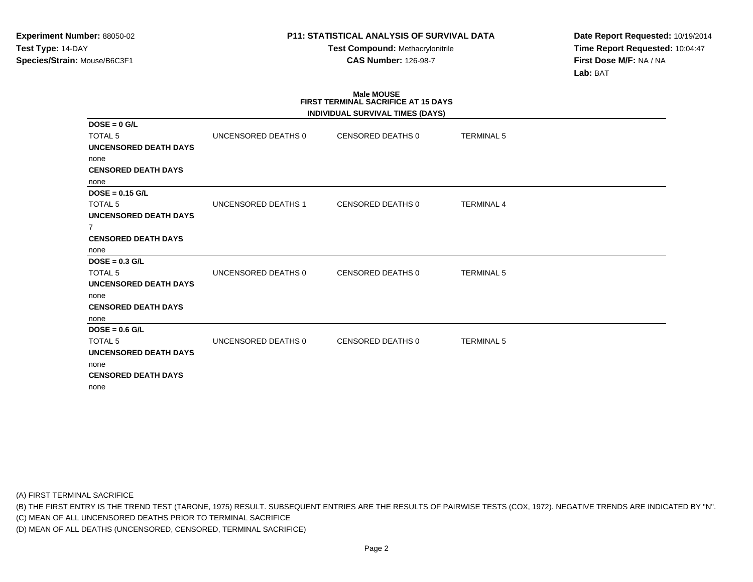**Test Compound:** Methacrylonitrile**CAS Number:** 126-98-7

**Date Report Requested:** 10/19/2014**Time Report Requested:** 10:04:47**First Dose M/F:** NA / NA**Lab:** BAT

# **Male MOUSE FIRST TERMINAL SACRIFICE AT 15 DAYS**

| UNCENSORED DEATHS 0 | CENSORED DEATHS 0 | <b>TERMINAL 5</b> |                                  |
|---------------------|-------------------|-------------------|----------------------------------|
|                     |                   |                   |                                  |
|                     |                   |                   |                                  |
|                     |                   |                   |                                  |
|                     |                   |                   |                                  |
|                     |                   |                   |                                  |
| UNCENSORED DEATHS 1 | CENSORED DEATHS 0 | <b>TERMINAL 4</b> |                                  |
|                     |                   |                   |                                  |
|                     |                   |                   |                                  |
|                     |                   |                   |                                  |
|                     |                   |                   |                                  |
|                     |                   |                   |                                  |
| UNCENSORED DEATHS 0 | CENSORED DEATHS 0 | <b>TERMINAL 5</b> |                                  |
|                     |                   |                   |                                  |
|                     |                   |                   |                                  |
|                     |                   |                   |                                  |
|                     |                   |                   |                                  |
|                     |                   |                   |                                  |
| UNCENSORED DEATHS 0 | CENSORED DEATHS 0 | <b>TERMINAL 5</b> |                                  |
|                     |                   |                   |                                  |
|                     |                   |                   |                                  |
|                     |                   |                   |                                  |
|                     |                   |                   |                                  |
|                     |                   |                   | INDIVIDUAL SURVIVAL TIMES (DAYS) |

(A) FIRST TERMINAL SACRIFICE

(B) THE FIRST ENTRY IS THE TREND TEST (TARONE, 1975) RESULT. SUBSEQUENT ENTRIES ARE THE RESULTS OF PAIRWISE TESTS (COX, 1972). NEGATIVE TRENDS ARE INDICATED BY "N".

(C) MEAN OF ALL UNCENSORED DEATHS PRIOR TO TERMINAL SACRIFICE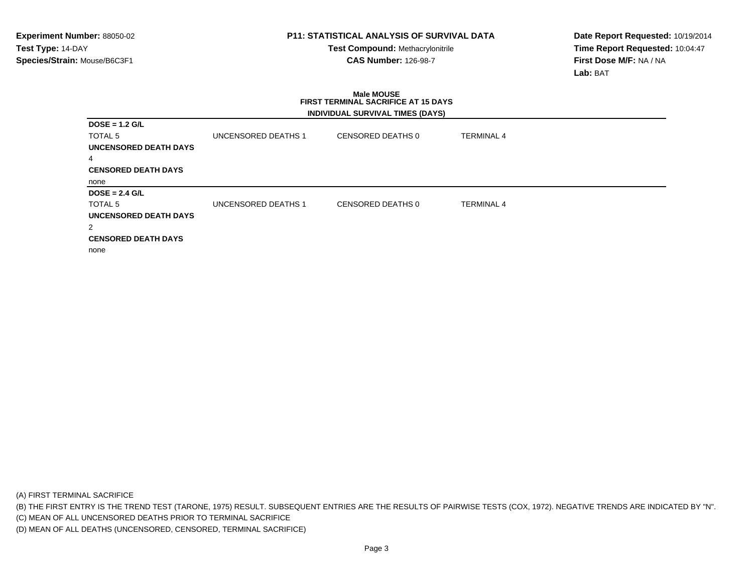**Test Compound:** Methacrylonitrile**CAS Number:** 126-98-7

**Date Report Requested:** 10/19/2014**Time Report Requested:** 10:04:47**First Dose M/F:** NA / NA**Lab:** BAT

### **Male MOUSE FIRST TERMINAL SACRIFICE AT 15 DAYSINDIVIDUAL SURVIVAL TIMES (DAYS)**

| $DOSE = 1.2 G/L$           |                     |                   |                   |
|----------------------------|---------------------|-------------------|-------------------|
| TOTAL 5                    | UNCENSORED DEATHS 1 | CENSORED DEATHS 0 | <b>TERMINAL 4</b> |
| UNCENSORED DEATH DAYS      |                     |                   |                   |
| $\overline{4}$             |                     |                   |                   |
| <b>CENSORED DEATH DAYS</b> |                     |                   |                   |
| none                       |                     |                   |                   |
|                            |                     |                   |                   |
| $DOSE = 2.4$ G/L           |                     |                   |                   |
| TOTAL 5                    | UNCENSORED DEATHS 1 | CENSORED DEATHS 0 | <b>TERMINAL 4</b> |
| UNCENSORED DEATH DAYS      |                     |                   |                   |
| 2                          |                     |                   |                   |
| <b>CENSORED DEATH DAYS</b> |                     |                   |                   |

(A) FIRST TERMINAL SACRIFICE

(B) THE FIRST ENTRY IS THE TREND TEST (TARONE, 1975) RESULT. SUBSEQUENT ENTRIES ARE THE RESULTS OF PAIRWISE TESTS (COX, 1972). NEGATIVE TRENDS ARE INDICATED BY "N".

(C) MEAN OF ALL UNCENSORED DEATHS PRIOR TO TERMINAL SACRIFICE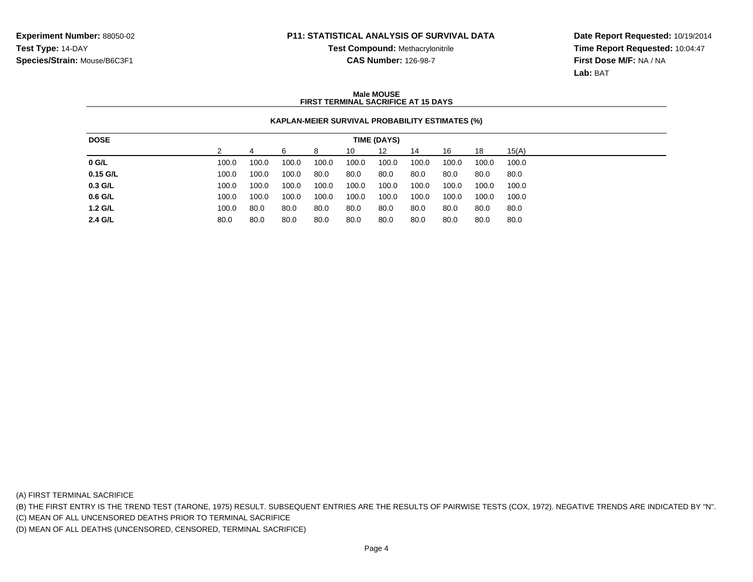**Test Compound:** Methacrylonitrile**CAS Number:** 126-98-7

**Date Report Requested:** 10/19/2014**Time Report Requested:** 10:04:47**First Dose M/F:** NA / NA**Lab:** BAT

### **Male MOUSEFIRST TERMINAL SACRIFICE AT 15 DAYS**

### **KAPLAN-MEIER SURVIVAL PROBABILITY ESTIMATES (%)**

| <b>DOSE</b> | TIME (DAYS) |       |       |       |       |       |       |       |       |       |
|-------------|-------------|-------|-------|-------|-------|-------|-------|-------|-------|-------|
|             |             |       | 6     |       | 10    | 12    | 14    | 16    | 18    | 15(A) |
| $0$ G/L     | 100.0       | 100.0 | 100.0 | 100.0 | 100.0 | 100.0 | 100.0 | 100.0 | 100.0 | 100.0 |
| $0.15$ G/L  | 100.0       | 100.0 | 100.0 | 80.0  | 80.0  | 80.0  | 80.0  | 80.0  | 80.0  | 80.0  |
| 0.3 G/L     | 100.0       | 100.0 | 100.0 | 100.0 | 100.0 | 100.0 | 100.0 | 100.0 | 100.0 | 100.0 |
| $0.6$ G/L   | 100.0       | 100.0 | 100.0 | 100.0 | 100.0 | 100.0 | 100.0 | 100.0 | 100.0 | 100.0 |
| 1.2 G/L     | 100.0       | 80.0  | 80.0  | 80.0  | 80.0  | 80.0  | 80.0  | 80.0  | 80.0  | 80.0  |
| 2.4 G/L     | 80.0        | 80.0  | 80.0  | 80.0  | 80.0  | 80.0  | 80.0  | 80.0  | 80.0  | 80.0  |

(A) FIRST TERMINAL SACRIFICE

(B) THE FIRST ENTRY IS THE TREND TEST (TARONE, 1975) RESULT. SUBSEQUENT ENTRIES ARE THE RESULTS OF PAIRWISE TESTS (COX, 1972). NEGATIVE TRENDS ARE INDICATED BY "N".

(C) MEAN OF ALL UNCENSORED DEATHS PRIOR TO TERMINAL SACRIFICE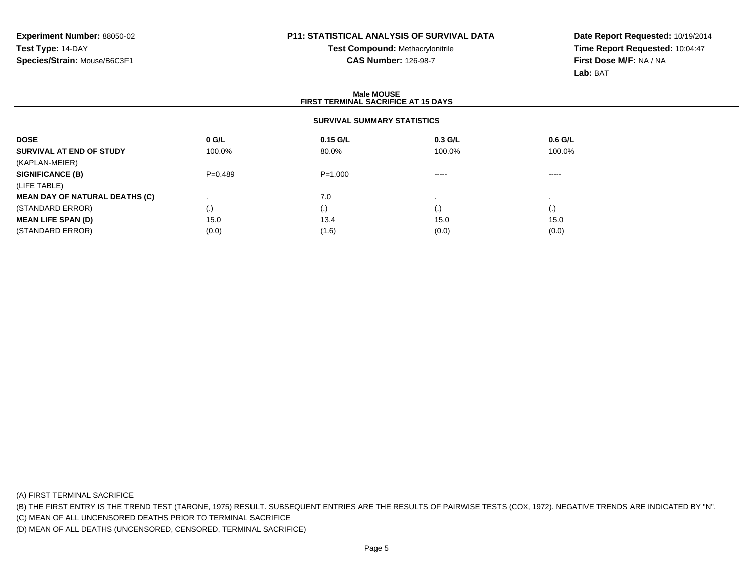**Test Compound:** Methacrylonitrile**CAS Number:** 126-98-7

**Date Report Requested:** 10/19/2014**Time Report Requested:** 10:04:47**First Dose M/F:** NA / NA**Lab:** BAT

#### **Male MOUSE FIRST TERMINAL SACRIFICE AT 15 DAYSSURVIVAL SUMMARY STATISTICSDOSE 0 G/L 0.15 G/L 0.3 G/L 0.6 G/L SURVIVAL AT END OF STUDY** 100.0% $\%$  80.0% 100.0% 100.0% 100.0% (KAPLAN-MEIER)**SIGNIFICANCE (B)** P=0.489 P=1.000 ----- ----- (LIFE TABLE) **MEAN DAY OF NATURAL DEATHS (C)**) and the contract of  $7.0$  . . (STANDARD ERROR) (.) (.) (.) (.) **MEAN LIFE SPAN (D)** $\bullet$  15.0 0 15.0 15.0 15.0 15.0 (STANDARD ERROR)(0.0) (0.0) (1.6) (0.0) (0.0) (0.0) (0.0)

(A) FIRST TERMINAL SACRIFICE

(B) THE FIRST ENTRY IS THE TREND TEST (TARONE, 1975) RESULT. SUBSEQUENT ENTRIES ARE THE RESULTS OF PAIRWISE TESTS (COX, 1972). NEGATIVE TRENDS ARE INDICATED BY "N".

(C) MEAN OF ALL UNCENSORED DEATHS PRIOR TO TERMINAL SACRIFICE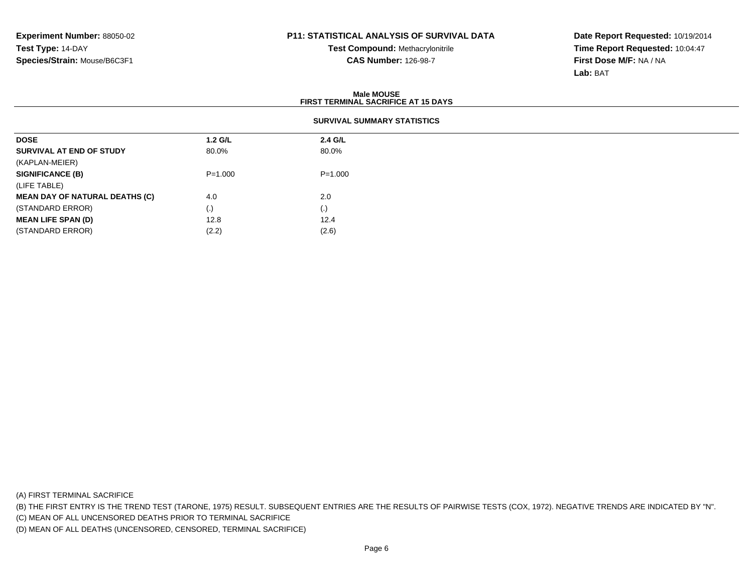**Test Compound:** Methacrylonitrile**CAS Number:** 126-98-7

**Date Report Requested:** 10/19/2014**Time Report Requested:** 10:04:47**First Dose M/F:** NA / NA**Lab:** BAT

|                                       | <b>Male MOUSE</b><br><b>FIRST TERMINAL SACRIFICE AT 15 DAYS</b> |                    |  |  |  |  |  |
|---------------------------------------|-----------------------------------------------------------------|--------------------|--|--|--|--|--|
|                                       | <b>SURVIVAL SUMMARY STATISTICS</b>                              |                    |  |  |  |  |  |
| <b>DOSE</b>                           | $1.2$ G/L                                                       | 2.4 G/L            |  |  |  |  |  |
| SURVIVAL AT END OF STUDY              | 80.0%                                                           | 80.0%              |  |  |  |  |  |
| (KAPLAN-MEIER)                        |                                                                 |                    |  |  |  |  |  |
| <b>SIGNIFICANCE (B)</b>               | $P = 1.000$                                                     | $P = 1.000$        |  |  |  |  |  |
| (LIFE TABLE)                          |                                                                 |                    |  |  |  |  |  |
| <b>MEAN DAY OF NATURAL DEATHS (C)</b> | 4.0                                                             | 2.0                |  |  |  |  |  |
| (STANDARD ERROR)                      | (.)                                                             | $\left( . \right)$ |  |  |  |  |  |
| <b>MEAN LIFE SPAN (D)</b>             | 12.8                                                            | 12.4               |  |  |  |  |  |
| (STANDARD ERROR)                      | (2.2)                                                           | (2.6)              |  |  |  |  |  |

(A) FIRST TERMINAL SACRIFICE

(B) THE FIRST ENTRY IS THE TREND TEST (TARONE, 1975) RESULT. SUBSEQUENT ENTRIES ARE THE RESULTS OF PAIRWISE TESTS (COX, 1972). NEGATIVE TRENDS ARE INDICATED BY "N".

(C) MEAN OF ALL UNCENSORED DEATHS PRIOR TO TERMINAL SACRIFICE

(D) MEAN OF ALL DEATHS (UNCENSORED, CENSORED, TERMINAL SACRIFICE)

 $(2.2)$   $(2.6)$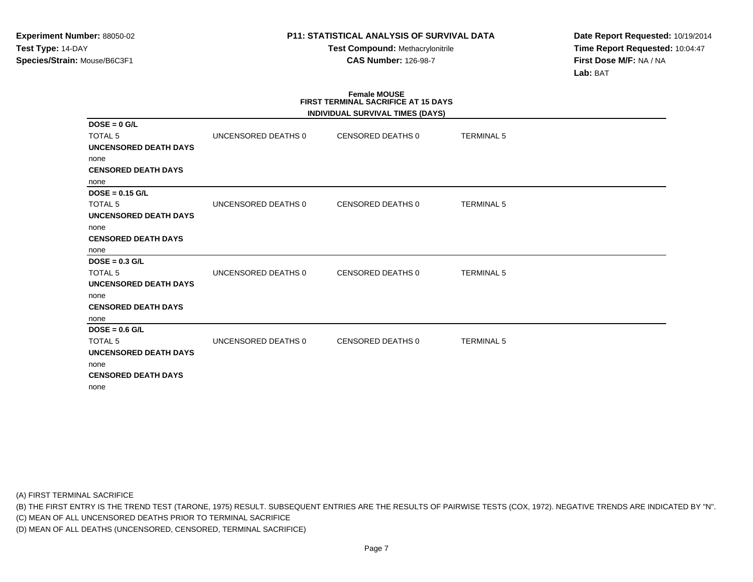**Test Compound:** Methacrylonitrile**CAS Number:** 126-98-7

**Date Report Requested:** 10/19/2014**Time Report Requested:** 10:04:47**First Dose M/F:** NA / NA**Lab:** BAT

# **Female MOUSE FIRST TERMINAL SACRIFICE AT 15 DAYS**

|                              |                     | INDIVIDUAL SURVIVAL TIMES (DAYS) |                   |  |
|------------------------------|---------------------|----------------------------------|-------------------|--|
| $DOSE = 0$ G/L               |                     |                                  |                   |  |
| <b>TOTAL 5</b>               | UNCENSORED DEATHS 0 | CENSORED DEATHS 0                | <b>TERMINAL 5</b> |  |
| <b>UNCENSORED DEATH DAYS</b> |                     |                                  |                   |  |
| none                         |                     |                                  |                   |  |
| <b>CENSORED DEATH DAYS</b>   |                     |                                  |                   |  |
| none                         |                     |                                  |                   |  |
| $DOSE = 0.15$ G/L            |                     |                                  |                   |  |
| <b>TOTAL 5</b>               | UNCENSORED DEATHS 0 | <b>CENSORED DEATHS 0</b>         | <b>TERMINAL 5</b> |  |
| <b>UNCENSORED DEATH DAYS</b> |                     |                                  |                   |  |
| none                         |                     |                                  |                   |  |
| <b>CENSORED DEATH DAYS</b>   |                     |                                  |                   |  |
| none                         |                     |                                  |                   |  |
| $DOSE = 0.3$ G/L             |                     |                                  |                   |  |
| <b>TOTAL 5</b>               | UNCENSORED DEATHS 0 | <b>CENSORED DEATHS 0</b>         | <b>TERMINAL 5</b> |  |
| <b>UNCENSORED DEATH DAYS</b> |                     |                                  |                   |  |
| none                         |                     |                                  |                   |  |
| <b>CENSORED DEATH DAYS</b>   |                     |                                  |                   |  |
| none                         |                     |                                  |                   |  |
| $DOSE = 0.6$ G/L             |                     |                                  |                   |  |
| <b>TOTAL 5</b>               | UNCENSORED DEATHS 0 | <b>CENSORED DEATHS 0</b>         | <b>TERMINAL 5</b> |  |
| <b>UNCENSORED DEATH DAYS</b> |                     |                                  |                   |  |
| none                         |                     |                                  |                   |  |
| <b>CENSORED DEATH DAYS</b>   |                     |                                  |                   |  |
| none                         |                     |                                  |                   |  |
|                              |                     |                                  |                   |  |

(A) FIRST TERMINAL SACRIFICE

(B) THE FIRST ENTRY IS THE TREND TEST (TARONE, 1975) RESULT. SUBSEQUENT ENTRIES ARE THE RESULTS OF PAIRWISE TESTS (COX, 1972). NEGATIVE TRENDS ARE INDICATED BY "N".

(C) MEAN OF ALL UNCENSORED DEATHS PRIOR TO TERMINAL SACRIFICE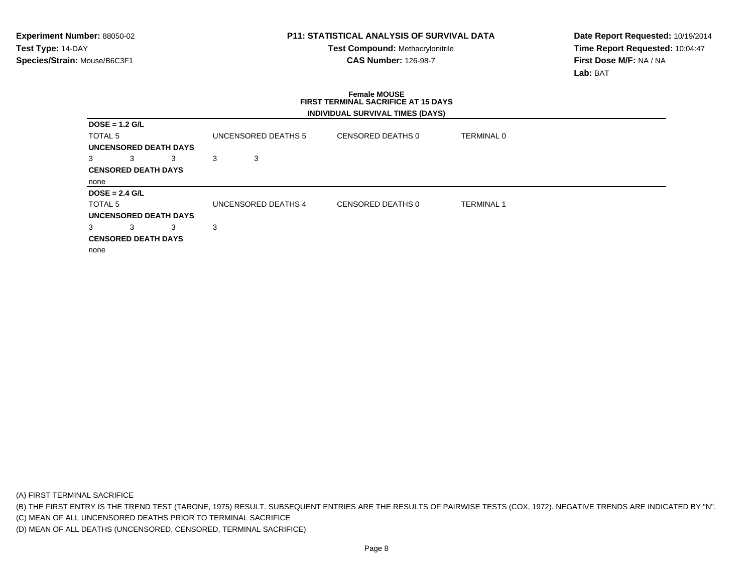**Test Compound:** Methacrylonitrile**CAS Number:** 126-98-7

**Date Report Requested:** 10/19/2014**Time Report Requested:** 10:04:47**First Dose M/F:** NA / NA**Lab:** BAT

### **Female MOUSE FIRST TERMINAL SACRIFICE AT 15 DAYSINDIVIDUAL SURVIVAL TIMES (DAYS)**

| $DOSE = 1.2$ G/L   |                            |                              |   |                     |                   |                   |
|--------------------|----------------------------|------------------------------|---|---------------------|-------------------|-------------------|
| TOTAL <sub>5</sub> |                            |                              |   | UNCENSORED DEATHS 5 | CENSORED DEATHS 0 | TERMINAL 0        |
|                    |                            | <b>UNCENSORED DEATH DAYS</b> |   |                     |                   |                   |
| 3                  | 3                          | 3                            | 3 | 3                   |                   |                   |
|                    | <b>CENSORED DEATH DAYS</b> |                              |   |                     |                   |                   |
| none               |                            |                              |   |                     |                   |                   |
| $DOSE = 2.4$ G/L   |                            |                              |   |                     |                   |                   |
| TOTAL 5            |                            |                              |   | UNCENSORED DEATHS 4 | CENSORED DEATHS 0 | <b>TERMINAL 1</b> |
|                    |                            | <b>UNCENSORED DEATH DAYS</b> |   |                     |                   |                   |
| 3                  | 3                          | 3                            | 3 |                     |                   |                   |
|                    | <b>CENSORED DEATH DAYS</b> |                              |   |                     |                   |                   |
| none               |                            |                              |   |                     |                   |                   |

(A) FIRST TERMINAL SACRIFICE

(B) THE FIRST ENTRY IS THE TREND TEST (TARONE, 1975) RESULT. SUBSEQUENT ENTRIES ARE THE RESULTS OF PAIRWISE TESTS (COX, 1972). NEGATIVE TRENDS ARE INDICATED BY "N".

(C) MEAN OF ALL UNCENSORED DEATHS PRIOR TO TERMINAL SACRIFICE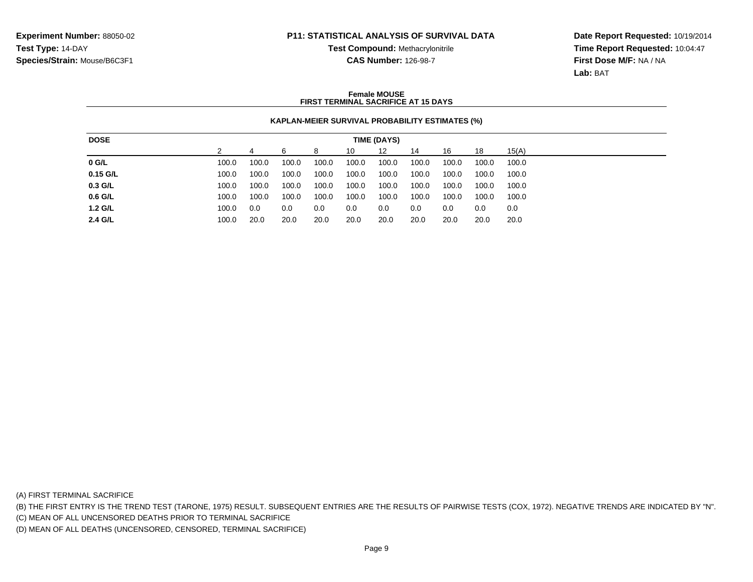**Test Compound:** Methacrylonitrile**CAS Number:** 126-98-7

**Date Report Requested:** 10/19/2014**Time Report Requested:** 10:04:47**First Dose M/F:** NA / NA**Lab:** BAT

### **Female MOUSEFIRST TERMINAL SACRIFICE AT 15 DAYS**

### **KAPLAN-MEIER SURVIVAL PROBABILITY ESTIMATES (%)**

| <b>DOSE</b> | <b>TIME (DAYS)</b> |       |       |       |       |       |       |       |       |       |
|-------------|--------------------|-------|-------|-------|-------|-------|-------|-------|-------|-------|
|             |                    |       | 6     | 8     | 10    | 12    | 14    | 16    | 18    | 15(A) |
| $0$ G/L     | 100.0              | 100.0 | 100.0 | 100.0 | 100.0 | 100.0 | 100.0 | 100.0 | 100.0 | 100.0 |
| $0.15$ G/L  | 100.0              | 100.0 | 100.0 | 100.0 | 100.0 | 100.0 | 100.0 | 100.0 | 100.0 | 100.0 |
| 0.3 G/L     | 100.0              | 100.0 | 100.0 | 100.0 | 100.0 | 100.0 | 100.0 | 100.0 | 100.0 | 100.0 |
| $0.6$ G/L   | 100.0              | 100.0 | 100.0 | 100.0 | 100.0 | 100.0 | 100.0 | 100.0 | 100.0 | 100.0 |
| 1.2 G/L     | 100.0              | 0.0   | 0.0   | 0.0   | 0.0   | 0.0   | 0.0   | 0.0   | 0.0   | 0.0   |
| 2.4 G/L     | 100.0              | 20.0  | 20.0  | 20.0  | 20.0  | 20.0  | 20.0  | 20.0  | 20.0  | 20.0  |

(A) FIRST TERMINAL SACRIFICE

(B) THE FIRST ENTRY IS THE TREND TEST (TARONE, 1975) RESULT. SUBSEQUENT ENTRIES ARE THE RESULTS OF PAIRWISE TESTS (COX, 1972). NEGATIVE TRENDS ARE INDICATED BY "N".

(C) MEAN OF ALL UNCENSORED DEATHS PRIOR TO TERMINAL SACRIFICE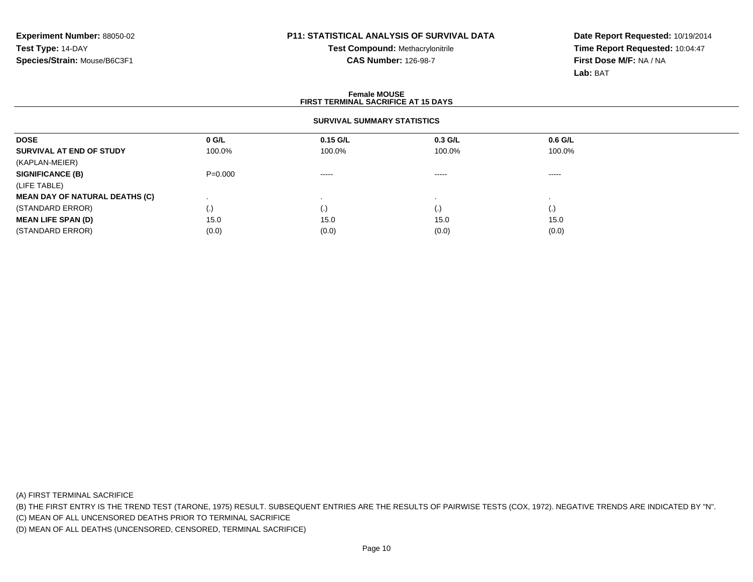**Test Compound:** Methacrylonitrile**CAS Number:** 126-98-7

**Date Report Requested:** 10/19/2014**Time Report Requested:** 10:04:47**First Dose M/F:** NA / NA**Lab:** BAT

#### **Female MOUSE FIRST TERMINAL SACRIFICE AT 15 DAYSSURVIVAL SUMMARY STATISTICSDOSE 0 G/L 0.15 G/L 0.3 G/L 0.6 G/L SURVIVAL AT END OF STUDY** 100.0% 100.0% 100.0% 100.0% (KAPLAN-MEIER)**SIGNIFICANCE (B)** P=0.000 ----- ----- ----- (LIFE TABLE) **MEAN DAY OF NATURAL DEATHS (C)** . . . . (STANDARD ERROR) (.) (.) (.) (.) **MEAN LIFE SPAN (D)** $\bullet$  15.0 0 15.0 15.0 15.0 15.0 15.0 (STANDARD ERROR) $(0.0)$   $(0.0)$   $(0.0)$   $(0.0)$   $(0.0)$   $(0.0)$   $(0.0)$   $(0.0)$

(A) FIRST TERMINAL SACRIFICE

(B) THE FIRST ENTRY IS THE TREND TEST (TARONE, 1975) RESULT. SUBSEQUENT ENTRIES ARE THE RESULTS OF PAIRWISE TESTS (COX, 1972). NEGATIVE TRENDS ARE INDICATED BY "N".

(C) MEAN OF ALL UNCENSORED DEATHS PRIOR TO TERMINAL SACRIFICE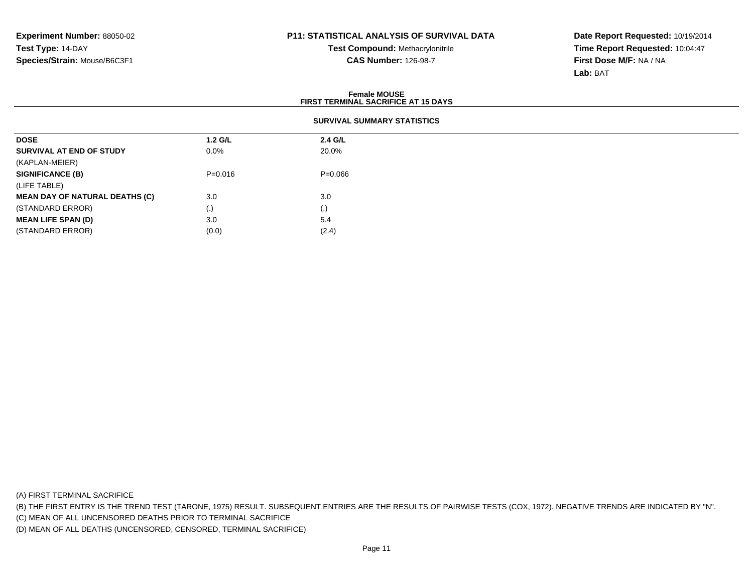**Test Compound:** Methacrylonitrile**CAS Number:** 126-98-7

**Date Report Requested:** 10/19/2014**Time Report Requested:** 10:04:47**First Dose M/F:** NA / NA**Lab:** BAT

|                                       |                                    | <b>Female MOUSE</b><br><b>FIRST TERMINAL SACRIFICE AT 15 DAYS</b> |  |  |  |  |
|---------------------------------------|------------------------------------|-------------------------------------------------------------------|--|--|--|--|
|                                       | <b>SURVIVAL SUMMARY STATISTICS</b> |                                                                   |  |  |  |  |
| <b>DOSE</b>                           | $1.2$ G/L                          | 2.4 G/L                                                           |  |  |  |  |
| SURVIVAL AT END OF STUDY              | $0.0\%$                            | 20.0%                                                             |  |  |  |  |
| (KAPLAN-MEIER)                        |                                    |                                                                   |  |  |  |  |
| <b>SIGNIFICANCE (B)</b>               | $P = 0.016$                        | $P=0.066$                                                         |  |  |  |  |
| (LIFE TABLE)                          |                                    |                                                                   |  |  |  |  |
| <b>MEAN DAY OF NATURAL DEATHS (C)</b> | 3.0                                | 3.0                                                               |  |  |  |  |
| (STANDARD ERROR)                      | $\left( . \right)$                 | $\left( . \right)$                                                |  |  |  |  |
| <b>MEAN LIFE SPAN (D)</b>             | 3.0                                | 5.4                                                               |  |  |  |  |
| (STANDARD ERROR)                      | (0.0)                              | (2.4)                                                             |  |  |  |  |

(A) FIRST TERMINAL SACRIFICE

(B) THE FIRST ENTRY IS THE TREND TEST (TARONE, 1975) RESULT. SUBSEQUENT ENTRIES ARE THE RESULTS OF PAIRWISE TESTS (COX, 1972). NEGATIVE TRENDS ARE INDICATED BY "N".

(C) MEAN OF ALL UNCENSORED DEATHS PRIOR TO TERMINAL SACRIFICE

(D) MEAN OF ALL DEATHS (UNCENSORED, CENSORED, TERMINAL SACRIFICE)

 $(0.0)$   $(2.4)$